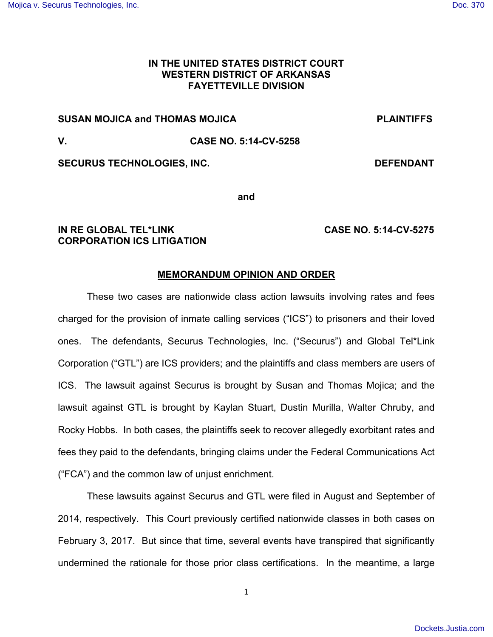# **IN THE UNITED STATES DISTRICT COURT WESTERN DISTRICT OF ARKANSAS FAYETTEVILLE DIVISION**

# **SUSAN MOJICA and THOMAS MOJICA PLAINTIFFS**

# **V. CASE NO. 5:14-CV-5258**

SECURUS TECHNOLOGIES, INC. **DEFENDANT** 

**and** 

# **IN RE GLOBAL TEL\*LINK CASE NO. 5:14-CV-5275 CORPORATION ICS LITIGATION**

## **MEMORANDUM OPINION AND ORDER**

 These two cases are nationwide class action lawsuits involving rates and fees charged for the provision of inmate calling services ("ICS") to prisoners and their loved ones. The defendants, Securus Technologies, Inc. ("Securus") and Global Tel\*Link Corporation ("GTL") are ICS providers; and the plaintiffs and class members are users of ICS. The lawsuit against Securus is brought by Susan and Thomas Mojica; and the lawsuit against GTL is brought by Kaylan Stuart, Dustin Murilla, Walter Chruby, and Rocky Hobbs. In both cases, the plaintiffs seek to recover allegedly exorbitant rates and fees they paid to the defendants, bringing claims under the Federal Communications Act ("FCA") and the common law of unjust enrichment.

 These lawsuits against Securus and GTL were filed in August and September of 2014, respectively. This Court previously certified nationwide classes in both cases on February 3, 2017. But since that time, several events have transpired that significantly undermined the rationale for those prior class certifications. In the meantime, a large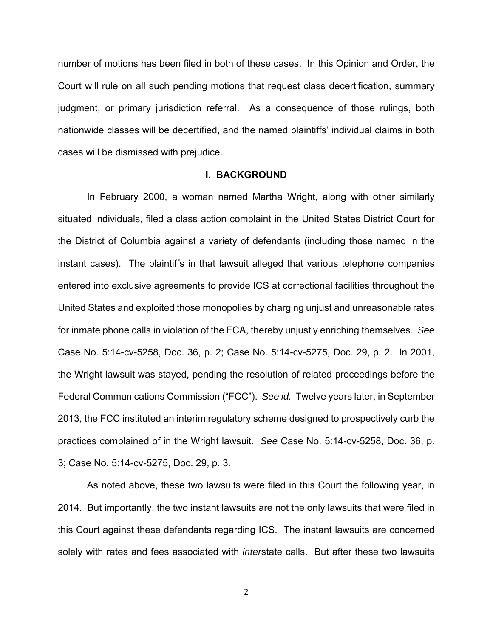number of motions has been filed in both of these cases. In this Opinion and Order, the Court will rule on all such pending motions that request class decertification, summary judgment, or primary jurisdiction referral. As a consequence of those rulings, both nationwide classes will be decertified, and the named plaintiffs' individual claims in both cases will be dismissed with prejudice.

#### **I. BACKGROUND**

 In February 2000, a woman named Martha Wright, along with other similarly situated individuals, filed a class action complaint in the United States District Court for the District of Columbia against a variety of defendants (including those named in the instant cases). The plaintiffs in that lawsuit alleged that various telephone companies entered into exclusive agreements to provide ICS at correctional facilities throughout the United States and exploited those monopolies by charging unjust and unreasonable rates for inmate phone calls in violation of the FCA, thereby unjustly enriching themselves. See Case No. 5:14-cv-5258, Doc. 36, p. 2; Case No. 5:14-cv-5275, Doc. 29, p. 2. In 2001, the Wright lawsuit was stayed, pending the resolution of related proceedings before the Federal Communications Commission ("FCC"). See id. Twelve years later, in September 2013, the FCC instituted an interim regulatory scheme designed to prospectively curb the practices complained of in the Wright lawsuit. See Case No. 5:14-cv-5258, Doc. 36, p. 3; Case No. 5:14-cv-5275, Doc. 29, p. 3.

 As noted above, these two lawsuits were filed in this Court the following year, in 2014. But importantly, the two instant lawsuits are not the only lawsuits that were filed in this Court against these defendants regarding ICS. The instant lawsuits are concerned solely with rates and fees associated with *interstate calls*. But after these two lawsuits

ヲ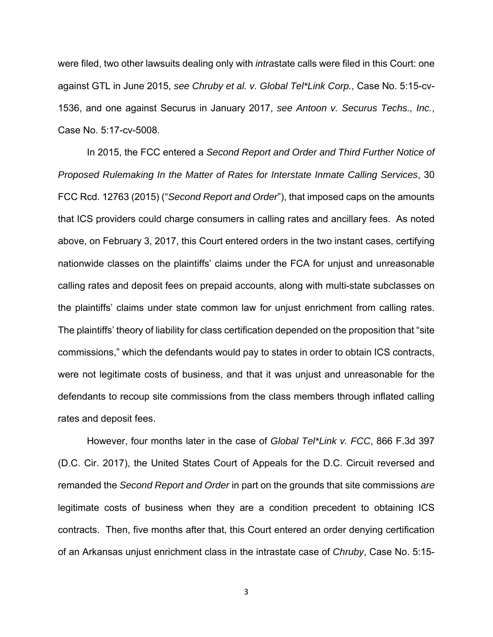were filed, two other lawsuits dealing only with *intra*state calls were filed in this Court: one against GTL in June 2015, see Chruby et al. v. Global Tel\*Link Corp., Case No. 5:15-cv-1536, and one against Securus in January 2017, see Antoon v. Securus Techs., Inc., Case No. 5:17-cv-5008.

 In 2015, the FCC entered a Second Report and Order and Third Further Notice of Proposed Rulemaking In the Matter of Rates for Interstate Inmate Calling Services, 30 FCC Rcd. 12763 (2015) ("Second Report and Order"), that imposed caps on the amounts that ICS providers could charge consumers in calling rates and ancillary fees. As noted above, on February 3, 2017, this Court entered orders in the two instant cases, certifying nationwide classes on the plaintiffs' claims under the FCA for unjust and unreasonable calling rates and deposit fees on prepaid accounts, along with multi-state subclasses on the plaintiffs' claims under state common law for unjust enrichment from calling rates. The plaintiffs' theory of liability for class certification depended on the proposition that "site commissions," which the defendants would pay to states in order to obtain ICS contracts, were not legitimate costs of business, and that it was unjust and unreasonable for the defendants to recoup site commissions from the class members through inflated calling rates and deposit fees.

However, four months later in the case of Global Tel\*Link v. FCC, 866 F.3d 397 (D.C. Cir. 2017), the United States Court of Appeals for the D.C. Circuit reversed and remanded the Second Report and Order in part on the grounds that site commissions are legitimate costs of business when they are a condition precedent to obtaining ICS contracts. Then, five months after that, this Court entered an order denying certification of an Arkansas unjust enrichment class in the intrastate case of Chruby, Case No. 5:15-

ン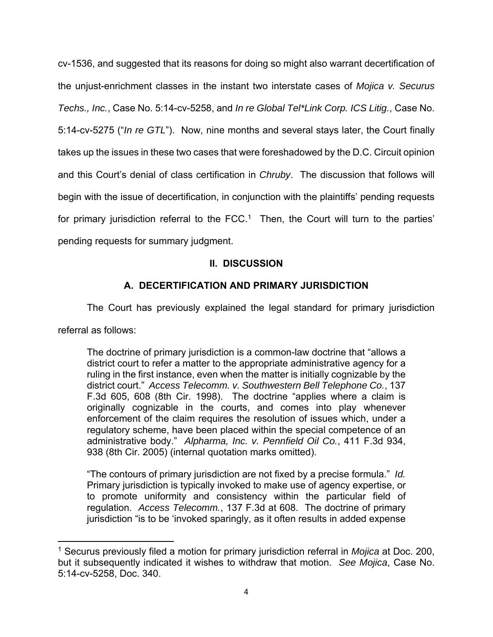cv-1536, and suggested that its reasons for doing so might also warrant decertification of the unjust-enrichment classes in the instant two interstate cases of Mojica v. Securus Techs., Inc., Case No. 5:14-cv-5258, and In re Global Tel\*Link Corp. ICS Litig., Case No. 5:14-cv-5275 ("In re GTL"). Now, nine months and several stays later, the Court finally takes up the issues in these two cases that were foreshadowed by the D.C. Circuit opinion and this Court's denial of class certification in Chruby. The discussion that follows will begin with the issue of decertification, in conjunction with the plaintiffs' pending requests for primary jurisdiction referral to the  $\text{FCC}.^1$  Then, the Court will turn to the parties' pending requests for summary judgment.

# **II. DISCUSSION**

# **A. DECERTIFICATION AND PRIMARY JURISDICTION**

The Court has previously explained the legal standard for primary jurisdiction

referral as follows:

The doctrine of primary jurisdiction is a common-law doctrine that "allows a district court to refer a matter to the appropriate administrative agency for a ruling in the first instance, even when the matter is initially cognizable by the district court." Access Telecomm. v. Southwestern Bell Telephone Co., 137 F.3d 605, 608 (8th Cir. 1998). The doctrine "applies where a claim is originally cognizable in the courts, and comes into play whenever enforcement of the claim requires the resolution of issues which, under a regulatory scheme, have been placed within the special competence of an administrative body." Alpharma, Inc. v. Pennfield Oil Co., 411 F.3d 934, 938 (8th Cir. 2005) (internal quotation marks omitted).

"The contours of primary jurisdiction are not fixed by a precise formula." Id. Primary jurisdiction is typically invoked to make use of agency expertise, or to promote uniformity and consistency within the particular field of regulation. Access Telecomm., 137 F.3d at 608. The doctrine of primary jurisdiction "is to be 'invoked sparingly, as it often results in added expense

<sup>&</sup>lt;sup>1</sup> Securus previously filed a motion for primary jurisdiction referral in *Mojica* at Doc. 200, but it subsequently indicated it wishes to withdraw that motion. See Mojica, Case No. 5:14-cv-5258, Doc. 340.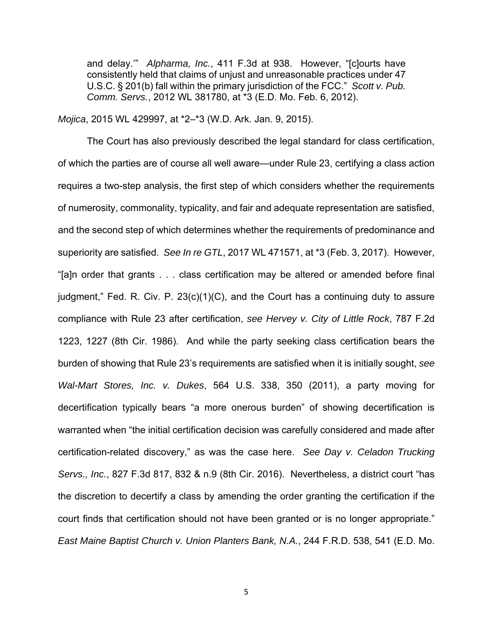and delay.'" Alpharma, Inc., 411 F.3d at 938. However, "[c]ourts have consistently held that claims of unjust and unreasonable practices under 47 U.S.C. § 201(b) fall within the primary jurisdiction of the FCC." Scott v. Pub. Comm. Servs., 2012 WL 381780, at \*3 (E.D. Mo. Feb. 6, 2012).

Mojica, 2015 WL 429997, at \*2–\*3 (W.D. Ark. Jan. 9, 2015).

 The Court has also previously described the legal standard for class certification, of which the parties are of course all well aware—under Rule 23, certifying a class action requires a two-step analysis, the first step of which considers whether the requirements of numerosity, commonality, typicality, and fair and adequate representation are satisfied, and the second step of which determines whether the requirements of predominance and superiority are satisfied. See In re GTL, 2017 WL 471571, at \*3 (Feb. 3, 2017). However, "[a]n order that grants . . . class certification may be altered or amended before final judgment," Fed. R. Civ. P. 23(c)(1)(C), and the Court has a continuing duty to assure compliance with Rule 23 after certification, see Hervey v. City of Little Rock, 787 F.2d 1223, 1227 (8th Cir. 1986). And while the party seeking class certification bears the burden of showing that Rule 23's requirements are satisfied when it is initially sought, see Wal-Mart Stores, Inc. v. Dukes, 564 U.S. 338, 350 (2011), a party moving for decertification typically bears "a more onerous burden" of showing decertification is warranted when "the initial certification decision was carefully considered and made after certification-related discovery," as was the case here. See Day v. Celadon Trucking Servs., Inc., 827 F.3d 817, 832 & n.9 (8th Cir. 2016). Nevertheless, a district court "has the discretion to decertify a class by amending the order granting the certification if the court finds that certification should not have been granted or is no longer appropriate." East Maine Baptist Church v. Union Planters Bank, N.A., 244 F.R.D. 538, 541 (E.D. Mo.

ヵ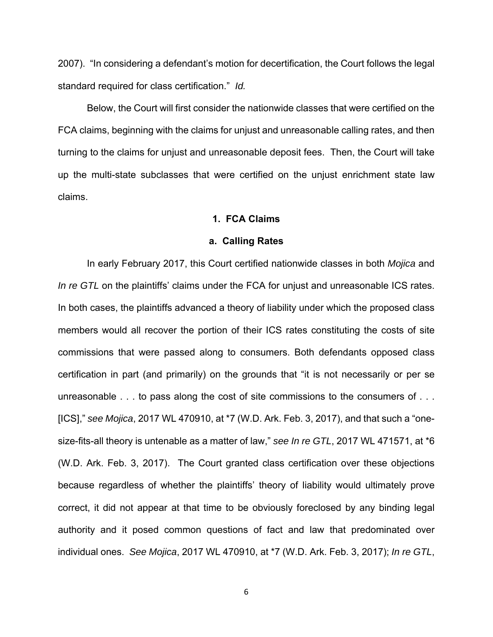2007). "In considering a defendant's motion for decertification, the Court follows the legal standard required for class certification." Id.

 Below, the Court will first consider the nationwide classes that were certified on the FCA claims, beginning with the claims for unjust and unreasonable calling rates, and then turning to the claims for unjust and unreasonable deposit fees. Then, the Court will take up the multi-state subclasses that were certified on the unjust enrichment state law claims.

### **1. FCA Claims**

#### **a. Calling Rates**

 In early February 2017, this Court certified nationwide classes in both Mojica and In re GTL on the plaintiffs' claims under the FCA for unjust and unreasonable ICS rates. In both cases, the plaintiffs advanced a theory of liability under which the proposed class members would all recover the portion of their ICS rates constituting the costs of site commissions that were passed along to consumers. Both defendants opposed class certification in part (and primarily) on the grounds that "it is not necessarily or per se unreasonable . . . to pass along the cost of site commissions to the consumers of . . . [ICS]," see Mojica, 2017 WL 470910, at \*7 (W.D. Ark. Feb. 3, 2017), and that such a "onesize-fits-all theory is untenable as a matter of law," see In re GTL, 2017 WL 471571, at \*6 (W.D. Ark. Feb. 3, 2017). The Court granted class certification over these objections because regardless of whether the plaintiffs' theory of liability would ultimately prove correct, it did not appear at that time to be obviously foreclosed by any binding legal authority and it posed common questions of fact and law that predominated over individual ones. See Mojica, 2017 WL 470910, at \*7 (W.D. Ark. Feb. 3, 2017); In re GTL,

ヶ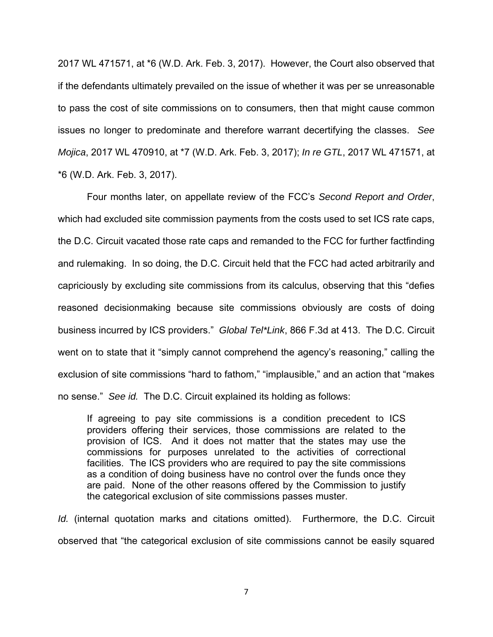2017 WL 471571, at \*6 (W.D. Ark. Feb. 3, 2017). However, the Court also observed that if the defendants ultimately prevailed on the issue of whether it was per se unreasonable to pass the cost of site commissions on to consumers, then that might cause common issues no longer to predominate and therefore warrant decertifying the classes. See Mojica, 2017 WL 470910, at \*7 (W.D. Ark. Feb. 3, 2017); In re GTL, 2017 WL 471571, at \*6 (W.D. Ark. Feb. 3, 2017).

 Four months later, on appellate review of the FCC's Second Report and Order, which had excluded site commission payments from the costs used to set ICS rate caps, the D.C. Circuit vacated those rate caps and remanded to the FCC for further factfinding and rulemaking. In so doing, the D.C. Circuit held that the FCC had acted arbitrarily and capriciously by excluding site commissions from its calculus, observing that this "defies reasoned decisionmaking because site commissions obviously are costs of doing business incurred by ICS providers." Global Tel\*Link, 866 F.3d at 413. The D.C. Circuit went on to state that it "simply cannot comprehend the agency's reasoning," calling the exclusion of site commissions "hard to fathom," "implausible," and an action that "makes no sense." See id. The D.C. Circuit explained its holding as follows:

If agreeing to pay site commissions is a condition precedent to ICS providers offering their services, those commissions are related to the provision of ICS. And it does not matter that the states may use the commissions for purposes unrelated to the activities of correctional facilities. The ICS providers who are required to pay the site commissions as a condition of doing business have no control over the funds once they are paid. None of the other reasons offered by the Commission to justify the categorical exclusion of site commissions passes muster.

Id. (internal quotation marks and citations omitted). Furthermore, the D.C. Circuit observed that "the categorical exclusion of site commissions cannot be easily squared

Α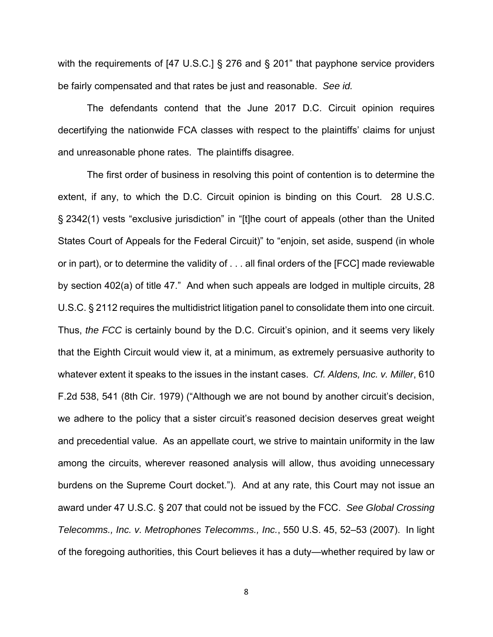with the requirements of [47 U.S.C.] § 276 and § 201" that payphone service providers be fairly compensated and that rates be just and reasonable. See id.

 The defendants contend that the June 2017 D.C. Circuit opinion requires decertifying the nationwide FCA classes with respect to the plaintiffs' claims for unjust and unreasonable phone rates. The plaintiffs disagree.

 The first order of business in resolving this point of contention is to determine the extent, if any, to which the D.C. Circuit opinion is binding on this Court. 28 U.S.C. § 2342(1) vests "exclusive jurisdiction" in "[t]he court of appeals (other than the United States Court of Appeals for the Federal Circuit)" to "enjoin, set aside, suspend (in whole or in part), or to determine the validity of . . . all final orders of the [FCC] made reviewable by section 402(a) of title 47." And when such appeals are lodged in multiple circuits, 28 U.S.C. § 2112 requires the multidistrict litigation panel to consolidate them into one circuit. Thus, the FCC is certainly bound by the D.C. Circuit's opinion, and it seems very likely that the Eighth Circuit would view it, at a minimum, as extremely persuasive authority to whatever extent it speaks to the issues in the instant cases. Cf. Aldens, Inc. v. Miller, 610 F.2d 538, 541 (8th Cir. 1979) ("Although we are not bound by another circuit's decision, we adhere to the policy that a sister circuit's reasoned decision deserves great weight and precedential value. As an appellate court, we strive to maintain uniformity in the law among the circuits, wherever reasoned analysis will allow, thus avoiding unnecessary burdens on the Supreme Court docket."). And at any rate, this Court may not issue an award under 47 U.S.C. § 207 that could not be issued by the FCC. See Global Crossing Telecomms., Inc. v. Metrophones Telecomms., Inc., 550 U.S. 45, 52–53 (2007). In light of the foregoing authorities, this Court believes it has a duty—whether required by law or

Β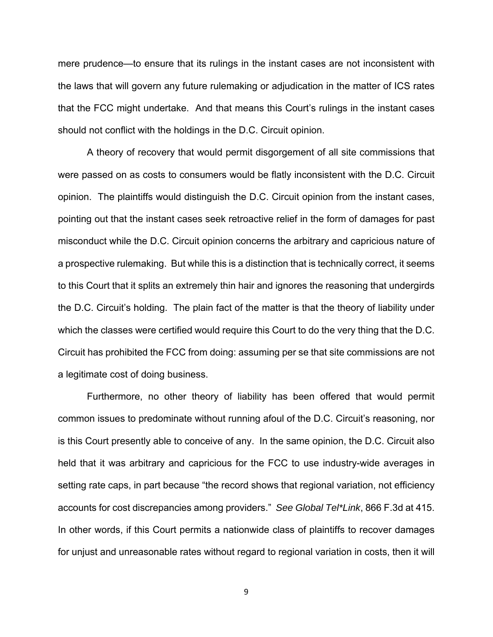mere prudence—to ensure that its rulings in the instant cases are not inconsistent with the laws that will govern any future rulemaking or adjudication in the matter of ICS rates that the FCC might undertake. And that means this Court's rulings in the instant cases should not conflict with the holdings in the D.C. Circuit opinion.

 A theory of recovery that would permit disgorgement of all site commissions that were passed on as costs to consumers would be flatly inconsistent with the D.C. Circuit opinion. The plaintiffs would distinguish the D.C. Circuit opinion from the instant cases, pointing out that the instant cases seek retroactive relief in the form of damages for past misconduct while the D.C. Circuit opinion concerns the arbitrary and capricious nature of a prospective rulemaking. But while this is a distinction that is technically correct, it seems to this Court that it splits an extremely thin hair and ignores the reasoning that undergirds the D.C. Circuit's holding. The plain fact of the matter is that the theory of liability under which the classes were certified would require this Court to do the very thing that the D.C. Circuit has prohibited the FCC from doing: assuming per se that site commissions are not a legitimate cost of doing business.

 Furthermore, no other theory of liability has been offered that would permit common issues to predominate without running afoul of the D.C. Circuit's reasoning, nor is this Court presently able to conceive of any. In the same opinion, the D.C. Circuit also held that it was arbitrary and capricious for the FCC to use industry-wide averages in setting rate caps, in part because "the record shows that regional variation, not efficiency accounts for cost discrepancies among providers." See Global Tel\*Link, 866 F.3d at 415. In other words, if this Court permits a nationwide class of plaintiffs to recover damages for unjust and unreasonable rates without regard to regional variation in costs, then it will

Γ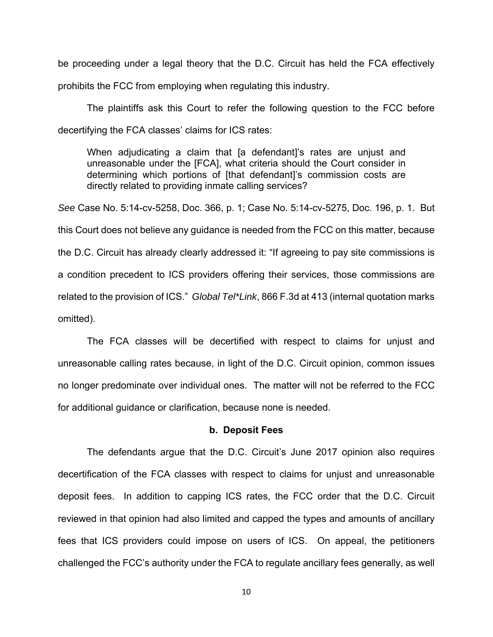be proceeding under a legal theory that the D.C. Circuit has held the FCA effectively

prohibits the FCC from employing when regulating this industry.

 The plaintiffs ask this Court to refer the following question to the FCC before decertifying the FCA classes' claims for ICS rates:

When adjudicating a claim that [a defendant]'s rates are unjust and unreasonable under the [FCA], what criteria should the Court consider in determining which portions of [that defendant]'s commission costs are directly related to providing inmate calling services?

See Case No. 5:14-cv-5258, Doc. 366, p. 1; Case No. 5:14-cv-5275, Doc. 196, p. 1. But this Court does not believe any guidance is needed from the FCC on this matter, because the D.C. Circuit has already clearly addressed it: "If agreeing to pay site commissions is a condition precedent to ICS providers offering their services, those commissions are related to the provision of ICS." Global Tel\*Link, 866 F.3d at 413 (internal quotation marks omitted).

 The FCA classes will be decertified with respect to claims for unjust and unreasonable calling rates because, in light of the D.C. Circuit opinion, common issues no longer predominate over individual ones. The matter will not be referred to the FCC for additional guidance or clarification, because none is needed.

#### **b. Deposit Fees**

 The defendants argue that the D.C. Circuit's June 2017 opinion also requires decertification of the FCA classes with respect to claims for unjust and unreasonable deposit fees. In addition to capping ICS rates, the FCC order that the D.C. Circuit reviewed in that opinion had also limited and capped the types and amounts of ancillary fees that ICS providers could impose on users of ICS. On appeal, the petitioners challenged the FCC's authority under the FCA to regulate ancillary fees generally, as well

10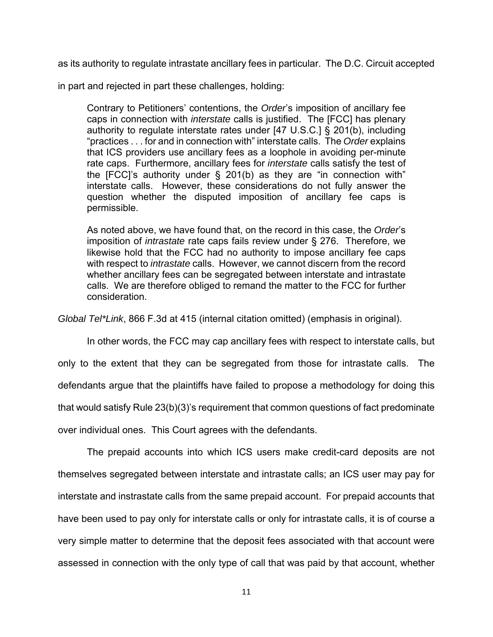as its authority to regulate intrastate ancillary fees in particular. The D.C. Circuit accepted

in part and rejected in part these challenges, holding:

Contrary to Petitioners' contentions, the Order's imposition of ancillary fee caps in connection with *interstate* calls is justified. The [FCC] has plenary authority to regulate interstate rates under [47 U.S.C.] § 201(b), including "practices . . . for and in connection with" interstate calls. The Order explains that ICS providers use ancillary fees as a loophole in avoiding per-minute rate caps. Furthermore, ancillary fees for interstate calls satisfy the test of the  $[FCC]$ 's authority under § 201(b) as they are "in connection with" interstate calls. However, these considerations do not fully answer the question whether the disputed imposition of ancillary fee caps is permissible.

As noted above, we have found that, on the record in this case, the Order's imposition of intrastate rate caps fails review under § 276. Therefore, we likewise hold that the FCC had no authority to impose ancillary fee caps with respect to intrastate calls. However, we cannot discern from the record whether ancillary fees can be segregated between interstate and intrastate calls. We are therefore obliged to remand the matter to the FCC for further consideration.

Global Tel\*Link, 866 F.3d at 415 (internal citation omitted) (emphasis in original).

 In other words, the FCC may cap ancillary fees with respect to interstate calls, but only to the extent that they can be segregated from those for intrastate calls. The defendants argue that the plaintiffs have failed to propose a methodology for doing this that would satisfy Rule 23(b)(3)'s requirement that common questions of fact predominate over individual ones. This Court agrees with the defendants.

 The prepaid accounts into which ICS users make credit-card deposits are not themselves segregated between interstate and intrastate calls; an ICS user may pay for interstate and instrastate calls from the same prepaid account. For prepaid accounts that have been used to pay only for interstate calls or only for intrastate calls, it is of course a very simple matter to determine that the deposit fees associated with that account were assessed in connection with the only type of call that was paid by that account, whether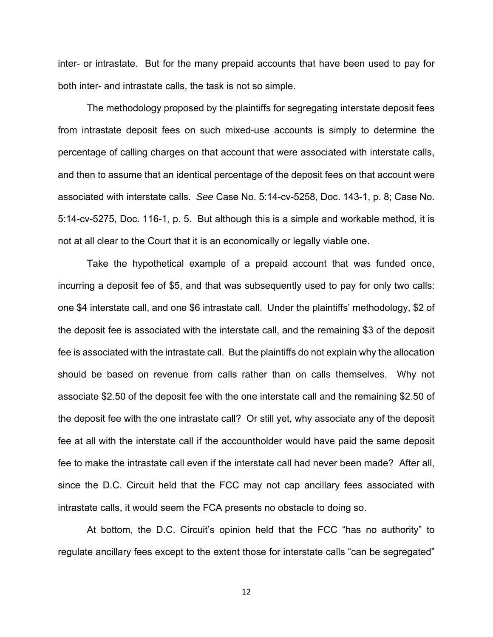inter- or intrastate. But for the many prepaid accounts that have been used to pay for both inter- and intrastate calls, the task is not so simple.

 The methodology proposed by the plaintiffs for segregating interstate deposit fees from intrastate deposit fees on such mixed-use accounts is simply to determine the percentage of calling charges on that account that were associated with interstate calls, and then to assume that an identical percentage of the deposit fees on that account were associated with interstate calls. See Case No. 5:14-cv-5258, Doc. 143-1, p. 8; Case No. 5:14-cv-5275, Doc. 116-1, p. 5. But although this is a simple and workable method, it is not at all clear to the Court that it is an economically or legally viable one.

 Take the hypothetical example of a prepaid account that was funded once, incurring a deposit fee of \$5, and that was subsequently used to pay for only two calls: one \$4 interstate call, and one \$6 intrastate call. Under the plaintiffs' methodology, \$2 of the deposit fee is associated with the interstate call, and the remaining \$3 of the deposit fee is associated with the intrastate call. But the plaintiffs do not explain why the allocation should be based on revenue from calls rather than on calls themselves. Why not associate \$2.50 of the deposit fee with the one interstate call and the remaining \$2.50 of the deposit fee with the one intrastate call? Or still yet, why associate any of the deposit fee at all with the interstate call if the accountholder would have paid the same deposit fee to make the intrastate call even if the interstate call had never been made? After all, since the D.C. Circuit held that the FCC may not cap ancillary fees associated with intrastate calls, it would seem the FCA presents no obstacle to doing so.

 At bottom, the D.C. Circuit's opinion held that the FCC "has no authority" to regulate ancillary fees except to the extent those for interstate calls "can be segregated"

ヱヲ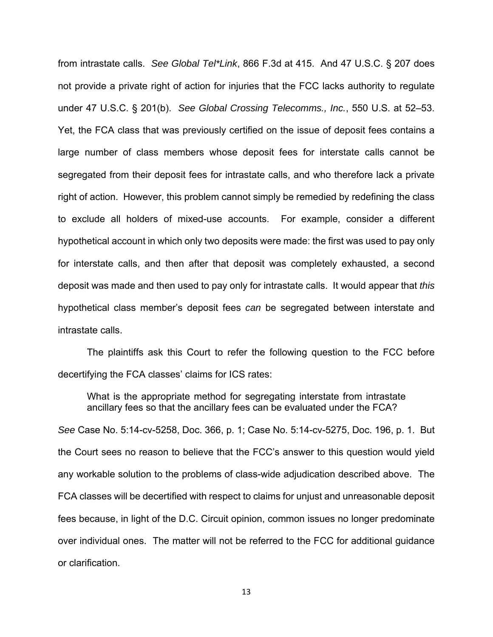from intrastate calls. See Global Tel\*Link, 866 F.3d at 415. And 47 U.S.C. § 207 does not provide a private right of action for injuries that the FCC lacks authority to regulate under 47 U.S.C. § 201(b). See Global Crossing Telecomms., Inc., 550 U.S. at 52–53. Yet, the FCA class that was previously certified on the issue of deposit fees contains a large number of class members whose deposit fees for interstate calls cannot be segregated from their deposit fees for intrastate calls, and who therefore lack a private right of action. However, this problem cannot simply be remedied by redefining the class to exclude all holders of mixed-use accounts. For example, consider a different hypothetical account in which only two deposits were made: the first was used to pay only for interstate calls, and then after that deposit was completely exhausted, a second deposit was made and then used to pay only for intrastate calls. It would appear that this hypothetical class member's deposit fees can be segregated between interstate and intrastate calls.

 The plaintiffs ask this Court to refer the following question to the FCC before decertifying the FCA classes' claims for ICS rates:

What is the appropriate method for segregating interstate from intrastate ancillary fees so that the ancillary fees can be evaluated under the FCA?

See Case No. 5:14-cv-5258, Doc. 366, p. 1; Case No. 5:14-cv-5275, Doc. 196, p. 1. But the Court sees no reason to believe that the FCC's answer to this question would yield any workable solution to the problems of class-wide adjudication described above. The FCA classes will be decertified with respect to claims for unjust and unreasonable deposit fees because, in light of the D.C. Circuit opinion, common issues no longer predominate over individual ones. The matter will not be referred to the FCC for additional guidance or clarification.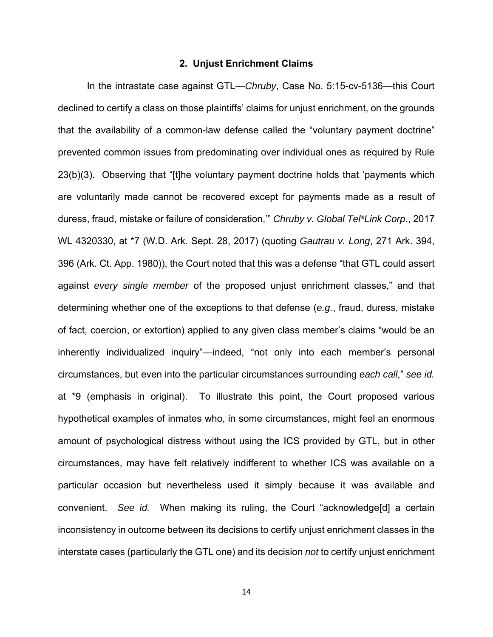#### **2. Unjust Enrichment Claims**

 In the intrastate case against GTL—Chruby, Case No. 5:15-cv-5136—this Court declined to certify a class on those plaintiffs' claims for unjust enrichment, on the grounds that the availability of a common-law defense called the "voluntary payment doctrine" prevented common issues from predominating over individual ones as required by Rule 23(b)(3). Observing that "[t]he voluntary payment doctrine holds that 'payments which are voluntarily made cannot be recovered except for payments made as a result of duress, fraud, mistake or failure of consideration,'" Chruby v. Global Tel\*Link Corp., 2017 WL 4320330, at \*7 (W.D. Ark. Sept. 28, 2017) (quoting Gautrau v. Long, 271 Ark. 394, 396 (Ark. Ct. App. 1980)), the Court noted that this was a defense "that GTL could assert against every single member of the proposed unjust enrichment classes," and that determining whether one of the exceptions to that defense (e.g., fraud, duress, mistake of fact, coercion, or extortion) applied to any given class member's claims "would be an inherently individualized inquiry"—indeed, "not only into each member's personal circumstances, but even into the particular circumstances surrounding each call," see id. at \*9 (emphasis in original). To illustrate this point, the Court proposed various hypothetical examples of inmates who, in some circumstances, might feel an enormous amount of psychological distress without using the ICS provided by GTL, but in other circumstances, may have felt relatively indifferent to whether ICS was available on a particular occasion but nevertheless used it simply because it was available and convenient. See id. When making its ruling, the Court "acknowledge[d] a certain inconsistency in outcome between its decisions to certify unjust enrichment classes in the interstate cases (particularly the GTL one) and its decision not to certify unjust enrichment

14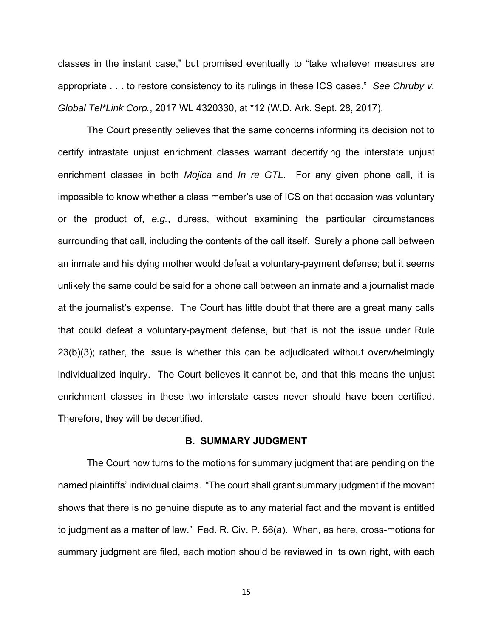classes in the instant case," but promised eventually to "take whatever measures are appropriate . . . to restore consistency to its rulings in these ICS cases." See Chruby v. Global Tel\*Link Corp., 2017 WL 4320330, at \*12 (W.D. Ark. Sept. 28, 2017).

 The Court presently believes that the same concerns informing its decision not to certify intrastate unjust enrichment classes warrant decertifying the interstate unjust enrichment classes in both *Mojica* and *In re GTL*. For any given phone call, it is impossible to know whether a class member's use of ICS on that occasion was voluntary or the product of, e.g., duress, without examining the particular circumstances surrounding that call, including the contents of the call itself. Surely a phone call between an inmate and his dying mother would defeat a voluntary-payment defense; but it seems unlikely the same could be said for a phone call between an inmate and a journalist made at the journalist's expense. The Court has little doubt that there are a great many calls that could defeat a voluntary-payment defense, but that is not the issue under Rule 23(b)(3); rather, the issue is whether this can be adjudicated without overwhelmingly individualized inquiry. The Court believes it cannot be, and that this means the unjust enrichment classes in these two interstate cases never should have been certified. Therefore, they will be decertified.

#### **B. SUMMARY JUDGMENT**

 The Court now turns to the motions for summary judgment that are pending on the named plaintiffs' individual claims. "The court shall grant summary judgment if the movant shows that there is no genuine dispute as to any material fact and the movant is entitled to judgment as a matter of law." Fed. R. Civ. P. 56(a). When, as here, cross-motions for summary judgment are filed, each motion should be reviewed in its own right, with each

ヱヵ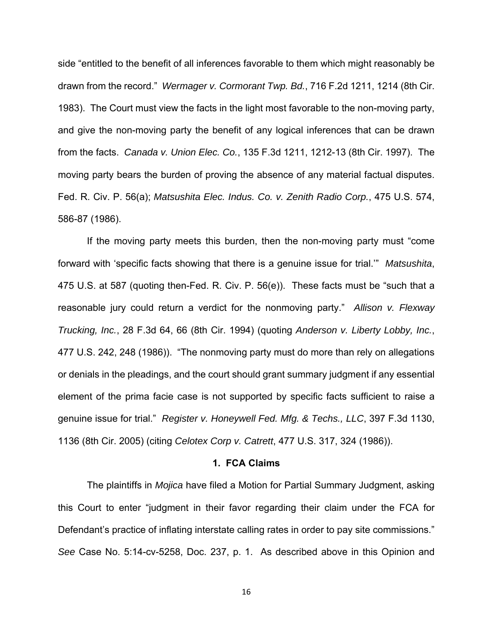side "entitled to the benefit of all inferences favorable to them which might reasonably be drawn from the record." Wermager v. Cormorant Twp. Bd., 716 F.2d 1211, 1214 (8th Cir. 1983). The Court must view the facts in the light most favorable to the non-moving party, and give the non-moving party the benefit of any logical inferences that can be drawn from the facts. Canada v. Union Elec. Co., 135 F.3d 1211, 1212-13 (8th Cir. 1997). The moving party bears the burden of proving the absence of any material factual disputes. Fed. R. Civ. P. 56(a); Matsushita Elec. Indus. Co. v. Zenith Radio Corp., 475 U.S. 574, 586-87 (1986).

 If the moving party meets this burden, then the non-moving party must "come forward with 'specific facts showing that there is a genuine issue for trial.'" Matsushita, 475 U.S. at 587 (quoting then-Fed. R. Civ. P. 56(e)). These facts must be "such that a reasonable jury could return a verdict for the nonmoving party." Allison v. Flexway Trucking, Inc., 28 F.3d 64, 66 (8th Cir. 1994) (quoting Anderson v. Liberty Lobby, Inc., 477 U.S. 242, 248 (1986)). "The nonmoving party must do more than rely on allegations or denials in the pleadings, and the court should grant summary judgment if any essential element of the prima facie case is not supported by specific facts sufficient to raise a genuine issue for trial." Register v. Honeywell Fed. Mfg. & Techs., LLC, 397 F.3d 1130, 1136 (8th Cir. 2005) (citing Celotex Corp v. Catrett, 477 U.S. 317, 324 (1986)).

#### **1. FCA Claims**

 The plaintiffs in Mojica have filed a Motion for Partial Summary Judgment, asking this Court to enter "judgment in their favor regarding their claim under the FCA for Defendant's practice of inflating interstate calling rates in order to pay site commissions." See Case No. 5:14-cv-5258, Doc. 237, p. 1. As described above in this Opinion and

ヱヶ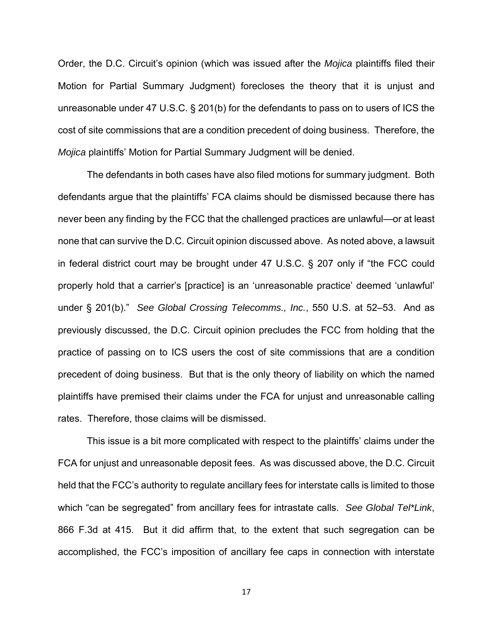Order, the D.C. Circuit's opinion (which was issued after the Mojica plaintiffs filed their Motion for Partial Summary Judgment) forecloses the theory that it is unjust and unreasonable under 47 U.S.C. § 201(b) for the defendants to pass on to users of ICS the cost of site commissions that are a condition precedent of doing business. Therefore, the Mojica plaintiffs' Motion for Partial Summary Judgment will be denied.

 The defendants in both cases have also filed motions for summary judgment. Both defendants argue that the plaintiffs' FCA claims should be dismissed because there has never been any finding by the FCC that the challenged practices are unlawful—or at least none that can survive the D.C. Circuit opinion discussed above. As noted above, a lawsuit in federal district court may be brought under 47 U.S.C. § 207 only if "the FCC could properly hold that a carrier's [practice] is an 'unreasonable practice' deemed 'unlawful' under § 201(b)." See Global Crossing Telecomms., Inc., 550 U.S. at 52-53. And as previously discussed, the D.C. Circuit opinion precludes the FCC from holding that the practice of passing on to ICS users the cost of site commissions that are a condition precedent of doing business. But that is the only theory of liability on which the named plaintiffs have premised their claims under the FCA for unjust and unreasonable calling rates. Therefore, those claims will be dismissed.

 This issue is a bit more complicated with respect to the plaintiffs' claims under the FCA for unjust and unreasonable deposit fees. As was discussed above, the D.C. Circuit held that the FCC's authority to regulate ancillary fees for interstate calls is limited to those which "can be segregated" from ancillary fees for intrastate calls. See Global Tel\*Link, 866 F.3d at 415. But it did affirm that, to the extent that such segregation can be accomplished, the FCC's imposition of ancillary fee caps in connection with interstate

ヱΑ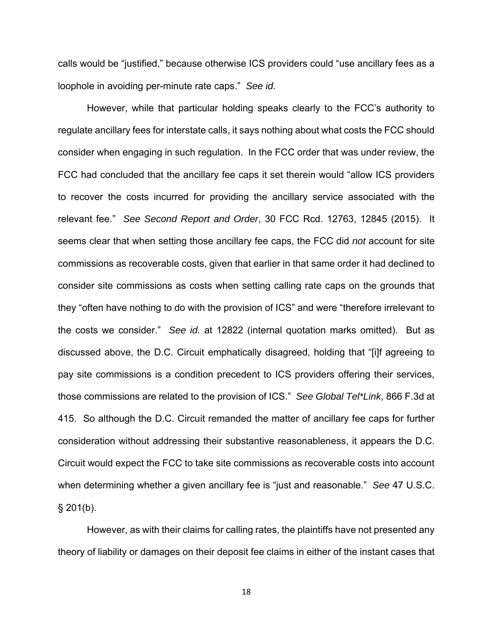calls would be "justified," because otherwise ICS providers could "use ancillary fees as a loophole in avoiding per-minute rate caps." See id.

 However, while that particular holding speaks clearly to the FCC's authority to regulate ancillary fees for interstate calls, it says nothing about what costs the FCC should consider when engaging in such regulation. In the FCC order that was under review, the FCC had concluded that the ancillary fee caps it set therein would "allow ICS providers to recover the costs incurred for providing the ancillary service associated with the relevant fee." See Second Report and Order, 30 FCC Rcd. 12763, 12845 (2015). It seems clear that when setting those ancillary fee caps, the FCC did not account for site commissions as recoverable costs, given that earlier in that same order it had declined to consider site commissions as costs when setting calling rate caps on the grounds that they "often have nothing to do with the provision of ICS" and were "therefore irrelevant to the costs we consider." See id. at 12822 (internal quotation marks omitted). But as discussed above, the D.C. Circuit emphatically disagreed, holding that "[i]f agreeing to pay site commissions is a condition precedent to ICS providers offering their services, those commissions are related to the provision of ICS." See Global Tel\*Link, 866 F.3d at 415. So although the D.C. Circuit remanded the matter of ancillary fee caps for further consideration without addressing their substantive reasonableness, it appears the D.C. Circuit would expect the FCC to take site commissions as recoverable costs into account when determining whether a given ancillary fee is "just and reasonable." See 47 U.S.C.  $§$  201(b).

 However, as with their claims for calling rates, the plaintiffs have not presented any theory of liability or damages on their deposit fee claims in either of the instant cases that

ヱΒ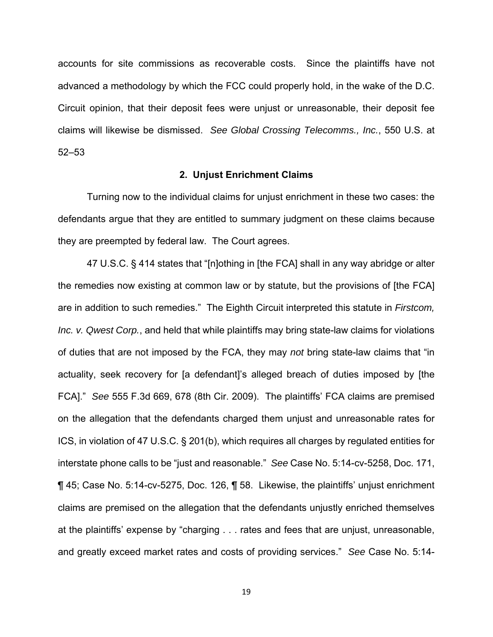accounts for site commissions as recoverable costs. Since the plaintiffs have not advanced a methodology by which the FCC could properly hold, in the wake of the D.C. Circuit opinion, that their deposit fees were unjust or unreasonable, their deposit fee claims will likewise be dismissed. See Global Crossing Telecomms., Inc., 550 U.S. at 52–53

#### **2. Unjust Enrichment Claims**

 Turning now to the individual claims for unjust enrichment in these two cases: the defendants argue that they are entitled to summary judgment on these claims because they are preempted by federal law. The Court agrees.

 47 U.S.C. § 414 states that "[n]othing in [the FCA] shall in any way abridge or alter the remedies now existing at common law or by statute, but the provisions of [the FCA] are in addition to such remedies." The Eighth Circuit interpreted this statute in Firstcom, Inc. v. Qwest Corp., and held that while plaintiffs may bring state-law claims for violations of duties that are not imposed by the FCA, they may not bring state-law claims that "in actuality, seek recovery for [a defendant]'s alleged breach of duties imposed by [the FCA]." See 555 F.3d 669, 678 (8th Cir. 2009). The plaintiffs' FCA claims are premised on the allegation that the defendants charged them unjust and unreasonable rates for ICS, in violation of 47 U.S.C. § 201(b), which requires all charges by regulated entities for interstate phone calls to be "just and reasonable." See Case No. 5:14-cv-5258, Doc. 171, ¶ 45; Case No. 5:14-cv-5275, Doc. 126, ¶ 58. Likewise, the plaintiffs' unjust enrichment claims are premised on the allegation that the defendants unjustly enriched themselves at the plaintiffs' expense by "charging . . . rates and fees that are unjust, unreasonable, and greatly exceed market rates and costs of providing services." See Case No. 5:14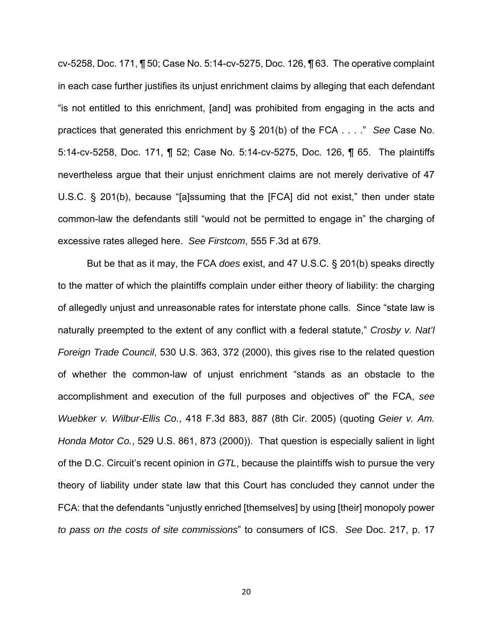cv-5258, Doc. 171, ¶ 50; Case No. 5:14-cv-5275, Doc. 126, ¶ 63. The operative complaint in each case further justifies its unjust enrichment claims by alleging that each defendant "is not entitled to this enrichment, [and] was prohibited from engaging in the acts and practices that generated this enrichment by § 201(b) of the FCA . . . ." See Case No. 5:14-cv-5258, Doc. 171, ¶ 52; Case No. 5:14-cv-5275, Doc. 126, ¶ 65. The plaintiffs nevertheless argue that their unjust enrichment claims are not merely derivative of 47 U.S.C. § 201(b), because "[a]ssuming that the [FCA] did not exist," then under state common-law the defendants still "would not be permitted to engage in" the charging of excessive rates alleged here. See Firstcom, 555 F.3d at 679.

 But be that as it may, the FCA does exist, and 47 U.S.C. § 201(b) speaks directly to the matter of which the plaintiffs complain under either theory of liability: the charging of allegedly unjust and unreasonable rates for interstate phone calls. Since "state law is naturally preempted to the extent of any conflict with a federal statute," Crosby v. Nat'l Foreign Trade Council, 530 U.S. 363, 372 (2000), this gives rise to the related question of whether the common-law of unjust enrichment "stands as an obstacle to the accomplishment and execution of the full purposes and objectives of" the FCA, see Wuebker v. Wilbur-Ellis Co., 418 F.3d 883, 887 (8th Cir. 2005) (quoting Geier v. Am. Honda Motor Co., 529 U.S. 861, 873 (2000)). That question is especially salient in light of the D.C. Circuit's recent opinion in GTL, because the plaintiffs wish to pursue the very theory of liability under state law that this Court has concluded they cannot under the FCA: that the defendants "unjustly enriched [themselves] by using [their] monopoly power to pass on the costs of site commissions" to consumers of ICS. See Doc. 217, p. 17

ヲヰ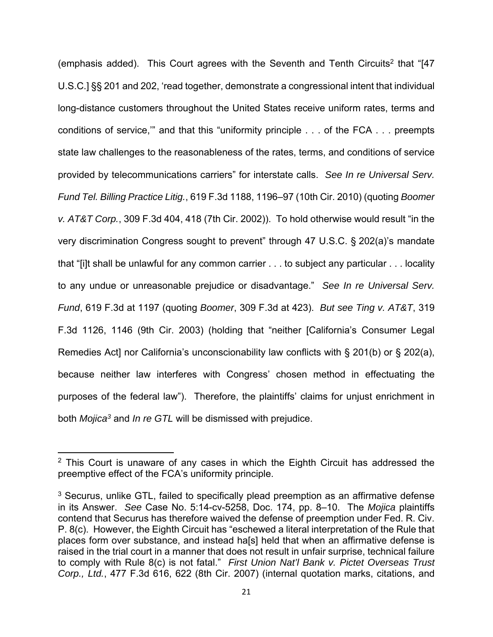(emphasis added). This Court agrees with the Seventh and Tenth Circuits<sup>2</sup> that "[47 U.S.C.] §§ 201 and 202, 'read together, demonstrate a congressional intent that individual long-distance customers throughout the United States receive uniform rates, terms and conditions of service,'" and that this "uniformity principle . . . of the FCA . . . preempts state law challenges to the reasonableness of the rates, terms, and conditions of service provided by telecommunications carriers" for interstate calls. See In re Universal Serv. Fund Tel. Billing Practice Litig., 619 F.3d 1188, 1196–97 (10th Cir. 2010) (quoting Boomer v. AT&T Corp., 309 F.3d 404, 418 (7th Cir. 2002)). To hold otherwise would result "in the very discrimination Congress sought to prevent" through 47 U.S.C. § 202(a)'s mandate that "[i]t shall be unlawful for any common carrier . . . to subject any particular . . . locality to any undue or unreasonable prejudice or disadvantage." See In re Universal Serv. Fund, 619 F.3d at 1197 (quoting Boomer, 309 F.3d at 423). But see Ting v. AT&T, 319 F.3d 1126, 1146 (9th Cir. 2003) (holding that "neither [California's Consumer Legal Remedies Act] nor California's unconscionability law conflicts with § 201(b) or § 202(a), because neither law interferes with Congress' chosen method in effectuating the purposes of the federal law"). Therefore, the plaintiffs' claims for unjust enrichment in both Mojica<sup>3</sup> and In re GTL will be dismissed with prejudice.

<sup>&</sup>lt;sup>2</sup> This Court is unaware of any cases in which the Eighth Circuit has addressed the preemptive effect of the FCA's uniformity principle.

 $3$  Securus, unlike GTL, failed to specifically plead preemption as an affirmative defense in its Answer. See Case No. 5:14-cv-5258, Doc. 174, pp. 8–10. The Mojica plaintiffs contend that Securus has therefore waived the defense of preemption under Fed. R. Civ. P. 8(c). However, the Eighth Circuit has "eschewed a literal interpretation of the Rule that places form over substance, and instead ha[s] held that when an affirmative defense is raised in the trial court in a manner that does not result in unfair surprise, technical failure to comply with Rule 8(c) is not fatal." First Union Nat'l Bank v. Pictet Overseas Trust Corp., Ltd., 477 F.3d 616, 622 (8th Cir. 2007) (internal quotation marks, citations, and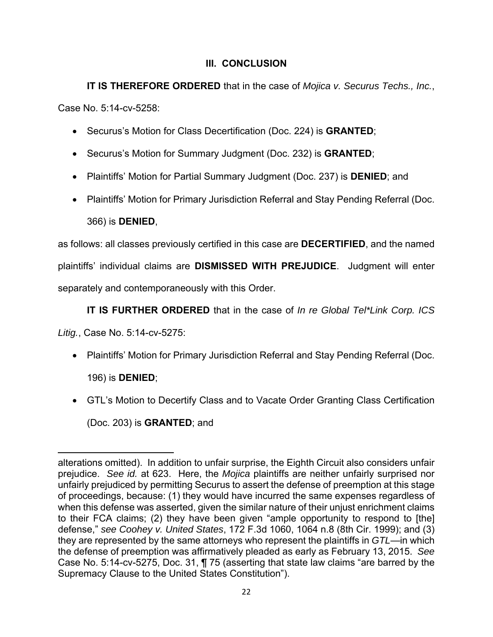# **III. CONCLUSION**

**IT IS THEREFORE ORDERED** that in the case of *Mojica v. Securus Techs., Inc.,* Case No. 5:14-cv-5258:

- Securus's Motion for Class Decertification (Doc. 224) is **GRANTED**;
- Securus's Motion for Summary Judgment (Doc. 232) is **GRANTED**;
- Plaintiffs' Motion for Partial Summary Judgment (Doc. 237) is **DENIED**; and
- Plaintiffs' Motion for Primary Jurisdiction Referral and Stay Pending Referral (Doc. 366) is **DENIED**,

as follows: all classes previously certified in this case are **DECERTIFIED**, and the named plaintiffs' individual claims are **DISMISSED WITH PREJUDICE**. Judgment will enter separately and contemporaneously with this Order.

**IT IS FURTHER ORDERED** that in the case of In re Global Tel\*Link Corp. ICS

Litig., Case No. 5:14-cv-5275:

- Plaintiffs' Motion for Primary Jurisdiction Referral and Stay Pending Referral (Doc. 196) is **DENIED**;
- GTL's Motion to Decertify Class and to Vacate Order Granting Class Certification (Doc. 203) is **GRANTED**; and

alterations omitted). In addition to unfair surprise, the Eighth Circuit also considers unfair prejudice. See id. at 623. Here, the Mojica plaintiffs are neither unfairly surprised nor unfairly prejudiced by permitting Securus to assert the defense of preemption at this stage of proceedings, because: (1) they would have incurred the same expenses regardless of when this defense was asserted, given the similar nature of their unjust enrichment claims to their FCA claims; (2) they have been given "ample opportunity to respond to [the] defense," see Coohey v. United States, 172 F.3d 1060, 1064 n.8 (8th Cir. 1999); and (3) they are represented by the same attorneys who represent the plaintiffs in GTL—in which the defense of preemption was affirmatively pleaded as early as February 13, 2015. See Case No. 5:14-cv-5275, Doc. 31, ¶ 75 (asserting that state law claims "are barred by the Supremacy Clause to the United States Constitution").